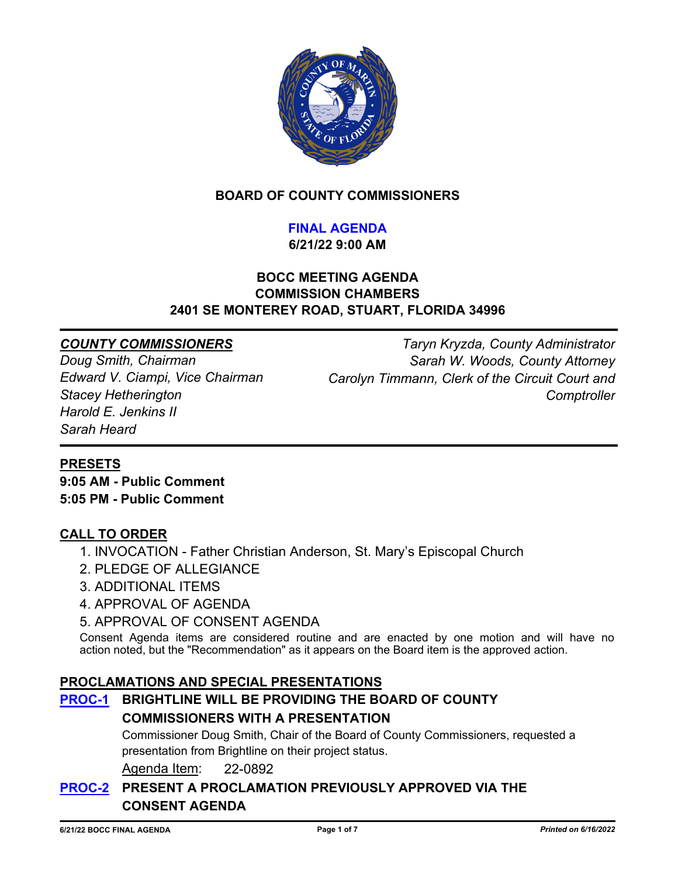

## **BOARD OF COUNTY COMMISSIONERS**

## **FINAL AGENDA**

**6/21/22 9:00 AM**

#### **BOCC MEETING AGENDA COMMISSION CHAMBERS 2401 SE MONTEREY ROAD, STUART, FLORIDA 34996**

#### *COUNTY COMMISSIONERS*

*Doug Smith, Chairman Edward V. Ciampi, Vice Chairman Stacey Hetherington Harold E. Jenkins II Sarah Heard*

*Taryn Kryzda, County Administrator Sarah W. Woods, County Attorney Carolyn Timmann, Clerk of the Circuit Court and Comptroller*

#### **PRESETS**

**9:05 AM - Public Comment 5:05 PM - Public Comment**

#### **CALL TO ORDER**

- 1. INVOCATION Father Christian Anderson, St. Mary's Episcopal Church
- 2. PLEDGE OF ALLEGIANCE
- 3. ADDITIONAL ITEMS
- 4. APPROVAL OF AGENDA
- 5. APPROVAL OF CONSENT AGENDA

Consent Agenda items are considered routine and are enacted by one motion and will have no action noted, but the "Recommendation" as it appears on the Board item is the approved action.

#### **PROCLAMATIONS AND SPECIAL PRESENTATIONS**

## **[PROC-1](http://martin.legistar.com/gateway.aspx?m=l&id=/matter.aspx?key=6253) BRIGHTLINE WILL BE PROVIDING THE BOARD OF COUNTY COMMISSIONERS WITH A PRESENTATION**

Commissioner Doug Smith, Chair of the Board of County Commissioners, requested a presentation from Brightline on their project status.

Agenda Item: 22-0892

## **[PROC-2](http://martin.legistar.com/gateway.aspx?m=l&id=/matter.aspx?key=6195) PRESENT A PROCLAMATION PREVIOUSLY APPROVED VIA THE CONSENT AGENDA**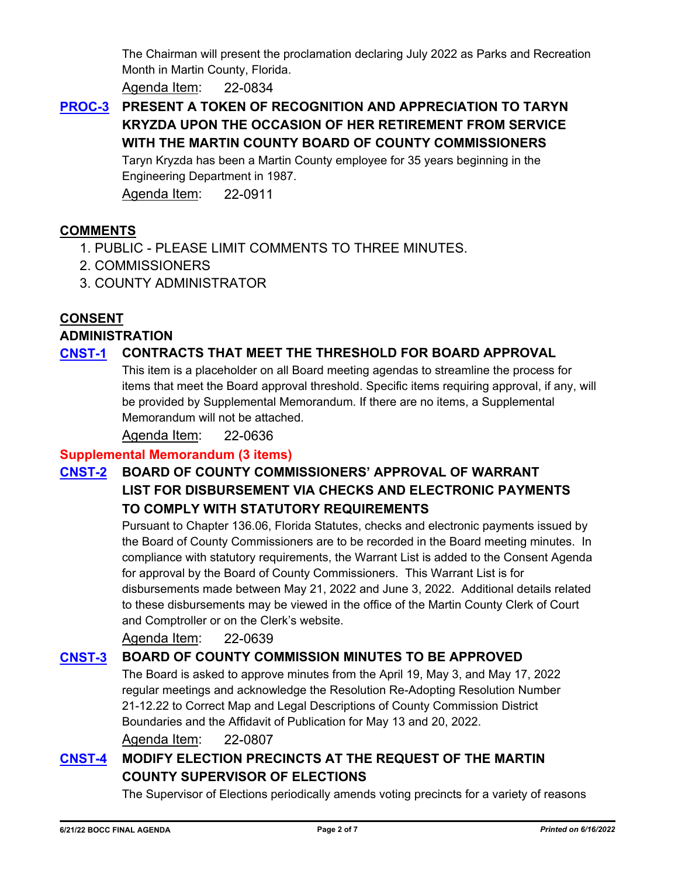The Chairman will present the proclamation declaring July 2022 as Parks and Recreation Month in Martin County, Florida.

Agenda Item: 22-0834

## **[PROC-3](http://martin.legistar.com/gateway.aspx?m=l&id=/matter.aspx?key=6272) PRESENT A TOKEN OF RECOGNITION AND APPRECIATION TO TARYN KRYZDA UPON THE OCCASION OF HER RETIREMENT FROM SERVICE WITH THE MARTIN COUNTY BOARD OF COUNTY COMMISSIONERS**

Taryn Kryzda has been a Martin County employee for 35 years beginning in the Engineering Department in 1987.

Agenda Item: 22-0911

## **COMMENTS**

- 1. PUBLIC PLEASE LIMIT COMMENTS TO THREE MINUTES.
- 2. COMMISSIONERS
- 3. COUNTY ADMINISTRATOR

## **CONSENT**

#### **ADMINISTRATION**

## **[CNST-1](http://martin.legistar.com/gateway.aspx?m=l&id=/matter.aspx?key=5995) CONTRACTS THAT MEET THE THRESHOLD FOR BOARD APPROVAL**

This item is a placeholder on all Board meeting agendas to streamline the process for items that meet the Board approval threshold. Specific items requiring approval, if any, will be provided by Supplemental Memorandum. If there are no items, a Supplemental Memorandum will not be attached.

Agenda Item: 22-0636

#### **Supplemental Memorandum (3 items)**

## **[CNST-2](http://martin.legistar.com/gateway.aspx?m=l&id=/matter.aspx?key=5998) BOARD OF COUNTY COMMISSIONERS' APPROVAL OF WARRANT LIST FOR DISBURSEMENT VIA CHECKS AND ELECTRONIC PAYMENTS TO COMPLY WITH STATUTORY REQUIREMENTS**

Pursuant to Chapter 136.06, Florida Statutes, checks and electronic payments issued by the Board of County Commissioners are to be recorded in the Board meeting minutes. In compliance with statutory requirements, the Warrant List is added to the Consent Agenda for approval by the Board of County Commissioners. This Warrant List is for disbursements made between May 21, 2022 and June 3, 2022. Additional details related to these disbursements may be viewed in the office of the Martin County Clerk of Court and Comptroller or on the Clerk's website.

Agenda Item: 22-0639

## **[CNST-3](http://martin.legistar.com/gateway.aspx?m=l&id=/matter.aspx?key=6168) BOARD OF COUNTY COMMISSION MINUTES TO BE APPROVED**

The Board is asked to approve minutes from the April 19, May 3, and May 17, 2022 regular meetings and acknowledge the Resolution Re-Adopting Resolution Number 21-12.22 to Correct Map and Legal Descriptions of County Commission District Boundaries and the Affidavit of Publication for May 13 and 20, 2022.

Agenda Item: 22-0807

## **[CNST-4](http://martin.legistar.com/gateway.aspx?m=l&id=/matter.aspx?key=6310) MODIFY ELECTION PRECINCTS AT THE REQUEST OF THE MARTIN COUNTY SUPERVISOR OF ELECTIONS**

The Supervisor of Elections periodically amends voting precincts for a variety of reasons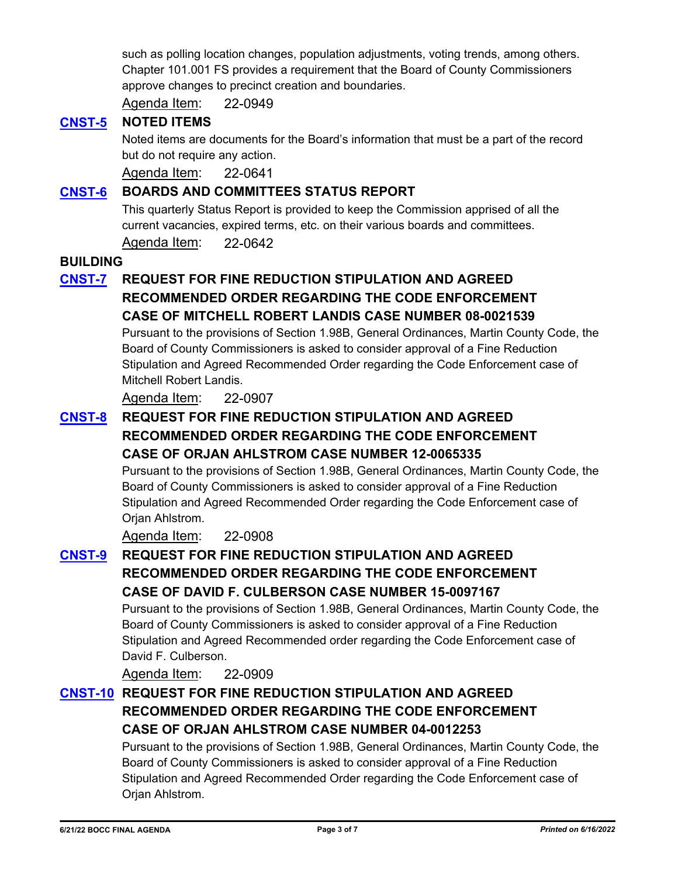such as polling location changes, population adjustments, voting trends, among others. Chapter 101.001 FS provides a requirement that the Board of County Commissioners approve changes to precinct creation and boundaries.

Agenda Item: 22-0949

#### **[CNST-5](http://martin.legistar.com/gateway.aspx?m=l&id=/matter.aspx?key=6000) NOTED ITEMS**

Noted items are documents for the Board's information that must be a part of the record but do not require any action.

Agenda Item: 22-0641

#### **[CNST-6](http://martin.legistar.com/gateway.aspx?m=l&id=/matter.aspx?key=6001) BOARDS AND COMMITTEES STATUS REPORT**

This quarterly Status Report is provided to keep the Commission apprised of all the current vacancies, expired terms, etc. on their various boards and committees.

Agenda Item: 22-0642

#### **BUILDING**

## **[CNST-7](http://martin.legistar.com/gateway.aspx?m=l&id=/matter.aspx?key=6268) REQUEST FOR FINE REDUCTION STIPULATION AND AGREED RECOMMENDED ORDER REGARDING THE CODE ENFORCEMENT CASE OF MITCHELL ROBERT LANDIS CASE NUMBER 08-0021539**

Pursuant to the provisions of Section 1.98B, General Ordinances, Martin County Code, the Board of County Commissioners is asked to consider approval of a Fine Reduction Stipulation and Agreed Recommended Order regarding the Code Enforcement case of Mitchell Robert Landis.

Agenda Item: 22-0907

## **[CNST-8](http://martin.legistar.com/gateway.aspx?m=l&id=/matter.aspx?key=6269) REQUEST FOR FINE REDUCTION STIPULATION AND AGREED RECOMMENDED ORDER REGARDING THE CODE ENFORCEMENT CASE OF ORJAN AHLSTROM CASE NUMBER 12-0065335**

Pursuant to the provisions of Section 1.98B, General Ordinances, Martin County Code, the Board of County Commissioners is asked to consider approval of a Fine Reduction Stipulation and Agreed Recommended Order regarding the Code Enforcement case of Orjan Ahlstrom.

Agenda Item: 22-0908

## **[CNST-9](http://martin.legistar.com/gateway.aspx?m=l&id=/matter.aspx?key=6270) REQUEST FOR FINE REDUCTION STIPULATION AND AGREED RECOMMENDED ORDER REGARDING THE CODE ENFORCEMENT CASE OF DAVID F. CULBERSON CASE NUMBER 15-0097167**

Pursuant to the provisions of Section 1.98B, General Ordinances, Martin County Code, the Board of County Commissioners is asked to consider approval of a Fine Reduction Stipulation and Agreed Recommended order regarding the Code Enforcement case of David F. Culberson.

Agenda Item: 22-0909

## **[CNST-10](http://martin.legistar.com/gateway.aspx?m=l&id=/matter.aspx?key=6271) REQUEST FOR FINE REDUCTION STIPULATION AND AGREED RECOMMENDED ORDER REGARDING THE CODE ENFORCEMENT CASE OF ORJAN AHLSTROM CASE NUMBER 04-0012253**

Pursuant to the provisions of Section 1.98B, General Ordinances, Martin County Code, the Board of County Commissioners is asked to consider approval of a Fine Reduction Stipulation and Agreed Recommended Order regarding the Code Enforcement case of Orjan Ahlstrom.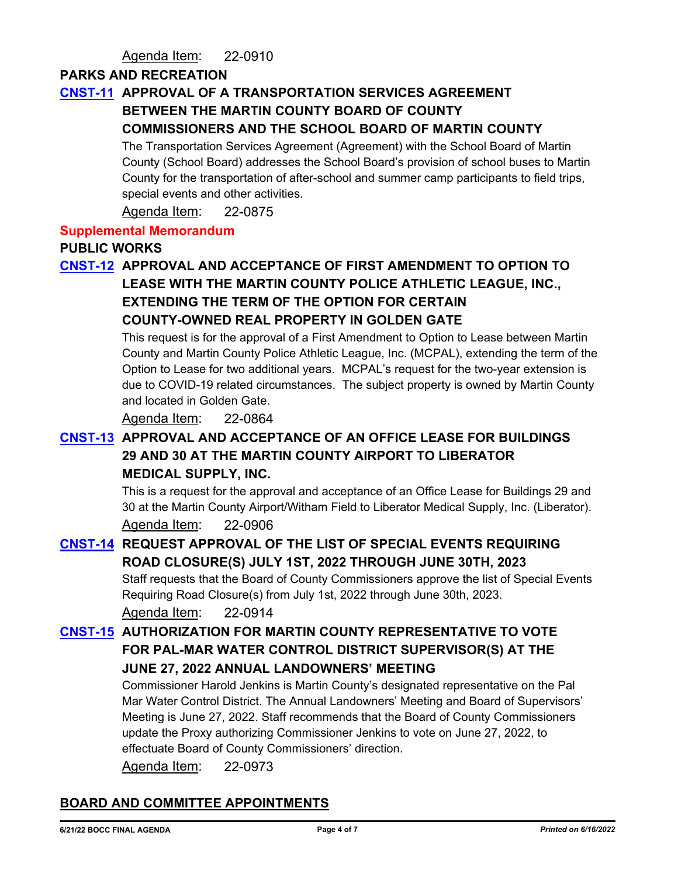#### Agenda Item: 22-0910

#### **PARKS AND RECREATION**

### **[CNST-11](http://martin.legistar.com/gateway.aspx?m=l&id=/matter.aspx?key=6236) APPROVAL OF A TRANSPORTATION SERVICES AGREEMENT BETWEEN THE MARTIN COUNTY BOARD OF COUNTY COMMISSIONERS AND THE SCHOOL BOARD OF MARTIN COUNTY**

# The Transportation Services Agreement (Agreement) with the School Board of Martin

County (School Board) addresses the School Board's provision of school buses to Martin County for the transportation of after-school and summer camp participants to field trips, special events and other activities.

Agenda Item: 22-0875

#### **Supplemental Memorandum**

#### **PUBLIC WORKS**

## **[CNST-12](http://martin.legistar.com/gateway.aspx?m=l&id=/matter.aspx?key=6225) APPROVAL AND ACCEPTANCE OF FIRST AMENDMENT TO OPTION TO LEASE WITH THE MARTIN COUNTY POLICE ATHLETIC LEAGUE, INC., EXTENDING THE TERM OF THE OPTION FOR CERTAIN COUNTY-OWNED REAL PROPERTY IN GOLDEN GATE**

This request is for the approval of a First Amendment to Option to Lease between Martin County and Martin County Police Athletic League, Inc. (MCPAL), extending the term of the Option to Lease for two additional years. MCPAL's request for the two-year extension is due to COVID-19 related circumstances. The subject property is owned by Martin County and located in Golden Gate.

Agenda Item: 22-0864

## **[CNST-13](http://martin.legistar.com/gateway.aspx?m=l&id=/matter.aspx?key=6267) APPROVAL AND ACCEPTANCE OF AN OFFICE LEASE FOR BUILDINGS 29 AND 30 AT THE MARTIN COUNTY AIRPORT TO LIBERATOR MEDICAL SUPPLY, INC.**

This is a request for the approval and acceptance of an Office Lease for Buildings 29 and 30 at the Martin County Airport/Witham Field to Liberator Medical Supply, Inc. (Liberator). Agenda Item: 22-0906

## **[CNST-14](http://martin.legistar.com/gateway.aspx?m=l&id=/matter.aspx?key=6275) REQUEST APPROVAL OF THE LIST OF SPECIAL EVENTS REQUIRING ROAD CLOSURE(S) JULY 1ST, 2022 THROUGH JUNE 30TH, 2023**

Staff requests that the Board of County Commissioners approve the list of Special Events Requiring Road Closure(s) from July 1st, 2022 through June 30th, 2023.

Agenda Item: 22-0914

## **[CNST-15](http://martin.legistar.com/gateway.aspx?m=l&id=/matter.aspx?key=6334) AUTHORIZATION FOR MARTIN COUNTY REPRESENTATIVE TO VOTE FOR PAL-MAR WATER CONTROL DISTRICT SUPERVISOR(S) AT THE JUNE 27, 2022 ANNUAL LANDOWNERS' MEETING**

Commissioner Harold Jenkins is Martin County's designated representative on the Pal Mar Water Control District. The Annual Landowners' Meeting and Board of Supervisors' Meeting is June 27, 2022. Staff recommends that the Board of County Commissioners update the Proxy authorizing Commissioner Jenkins to vote on June 27, 2022, to effectuate Board of County Commissioners' direction.

Agenda Item: 22-0973

## **BOARD AND COMMITTEE APPOINTMENTS**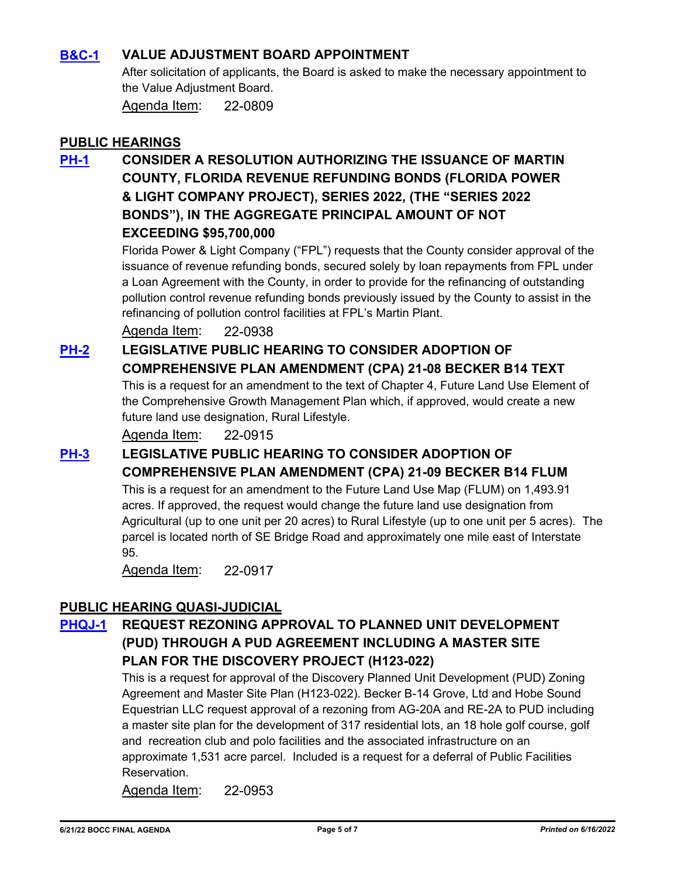### **[B&C-1](http://martin.legistar.com/gateway.aspx?m=l&id=/matter.aspx?key=6170) VALUE ADJUSTMENT BOARD APPOINTMENT**

After solicitation of applicants, the Board is asked to make the necessary appointment to the Value Adjustment Board.

Agenda Item: 22-0809

#### **PUBLIC HEARINGS**

**[PH-1](http://martin.legistar.com/gateway.aspx?m=l&id=/matter.aspx?key=6299) CONSIDER A RESOLUTION AUTHORIZING THE ISSUANCE OF MARTIN COUNTY, FLORIDA REVENUE REFUNDING BONDS (FLORIDA POWER & LIGHT COMPANY PROJECT), SERIES 2022, (THE "SERIES 2022 BONDS"), IN THE AGGREGATE PRINCIPAL AMOUNT OF NOT EXCEEDING \$95,700,000**

> Florida Power & Light Company ("FPL") requests that the County consider approval of the issuance of revenue refunding bonds, secured solely by loan repayments from FPL under a Loan Agreement with the County, in order to provide for the refinancing of outstanding pollution control revenue refunding bonds previously issued by the County to assist in the refinancing of pollution control facilities at FPL's Martin Plant.

Agenda Item: 22-0938

## **[PH-2](http://martin.legistar.com/gateway.aspx?m=l&id=/matter.aspx?key=6276) LEGISLATIVE PUBLIC HEARING TO CONSIDER ADOPTION OF COMPREHENSIVE PLAN AMENDMENT (CPA) 21-08 BECKER B14 TEXT**

This is a request for an amendment to the text of Chapter 4, Future Land Use Element of the Comprehensive Growth Management Plan which, if approved, would create a new future land use designation, Rural Lifestyle.

Agenda Item: 22-0915

## **[PH-3](http://martin.legistar.com/gateway.aspx?m=l&id=/matter.aspx?key=6278) LEGISLATIVE PUBLIC HEARING TO CONSIDER ADOPTION OF**

**COMPREHENSIVE PLAN AMENDMENT (CPA) 21-09 BECKER B14 FLUM**

This is a request for an amendment to the Future Land Use Map (FLUM) on 1,493.91 acres. If approved, the request would change the future land use designation from Agricultural (up to one unit per 20 acres) to Rural Lifestyle (up to one unit per 5 acres). The parcel is located north of SE Bridge Road and approximately one mile east of Interstate 95.

Agenda Item: 22-0917

#### **PUBLIC HEARING QUASI-JUDICIAL**

## **[PHQJ-1](http://martin.legistar.com/gateway.aspx?m=l&id=/matter.aspx?key=6314) REQUEST REZONING APPROVAL TO PLANNED UNIT DEVELOPMENT (PUD) THROUGH A PUD AGREEMENT INCLUDING A MASTER SITE PLAN FOR THE DISCOVERY PROJECT (H123-022)**

This is a request for approval of the Discovery Planned Unit Development (PUD) Zoning Agreement and Master Site Plan (H123-022). Becker B-14 Grove, Ltd and Hobe Sound Equestrian LLC request approval of a rezoning from AG-20A and RE-2A to PUD including a master site plan for the development of 317 residential lots, an 18 hole golf course, golf and recreation club and polo facilities and the associated infrastructure on an approximate 1,531 acre parcel. Included is a request for a deferral of Public Facilities Reservation.

Agenda Item: 22-0953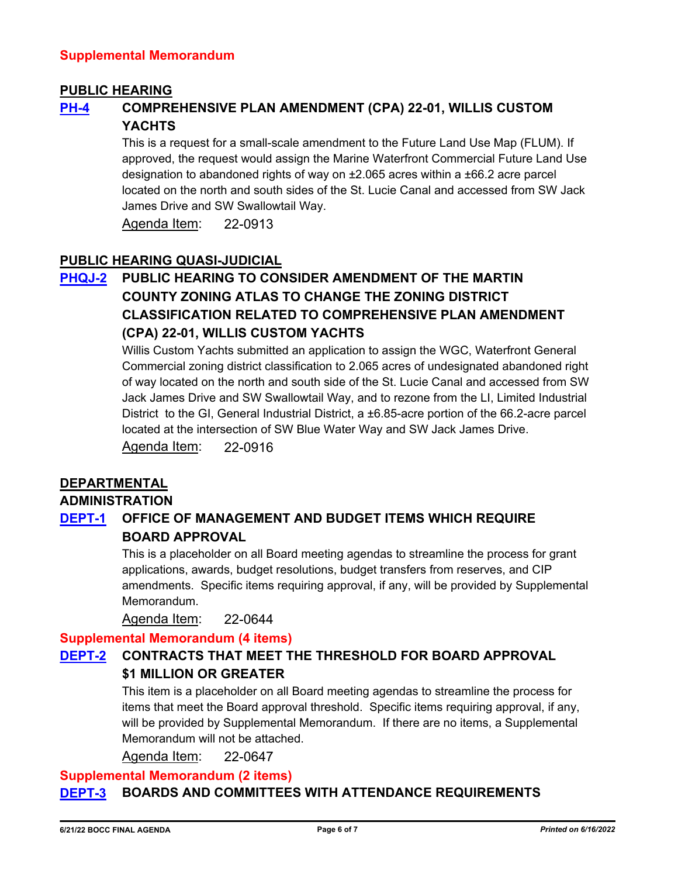#### **PUBLIC HEARING**

## **[PH-4](http://martin.legistar.com/gateway.aspx?m=l&id=/matter.aspx?key=6274) COMPREHENSIVE PLAN AMENDMENT (CPA) 22-01, WILLIS CUSTOM YACHTS**

This is a request for a small-scale amendment to the Future Land Use Map (FLUM). If approved, the request would assign the Marine Waterfront Commercial Future Land Use designation to abandoned rights of way on ±2.065 acres within a ±66.2 acre parcel located on the north and south sides of the St. Lucie Canal and accessed from SW Jack James Drive and SW Swallowtail Way.

Agenda Item: 22-0913

#### **PUBLIC HEARING QUASI-JUDICIAL**

## **[PHQJ-2](http://martin.legistar.com/gateway.aspx?m=l&id=/matter.aspx?key=6277) PUBLIC HEARING TO CONSIDER AMENDMENT OF THE MARTIN COUNTY ZONING ATLAS TO CHANGE THE ZONING DISTRICT CLASSIFICATION RELATED TO COMPREHENSIVE PLAN AMENDMENT (CPA) 22-01, WILLIS CUSTOM YACHTS**

Willis Custom Yachts submitted an application to assign the WGC, Waterfront General Commercial zoning district classification to 2.065 acres of undesignated abandoned right of way located on the north and south side of the St. Lucie Canal and accessed from SW Jack James Drive and SW Swallowtail Way, and to rezone from the LI, Limited Industrial District to the GI, General Industrial District, a ±6.85-acre portion of the 66.2-acre parcel located at the intersection of SW Blue Water Way and SW Jack James Drive. Agenda Item: 22-0916

#### **DEPARTMENTAL**

#### **ADMINISTRATION**

## **[DEPT-1](http://martin.legistar.com/gateway.aspx?m=l&id=/matter.aspx?key=6003) OFFICE OF MANAGEMENT AND BUDGET ITEMS WHICH REQUIRE BOARD APPROVAL**

This is a placeholder on all Board meeting agendas to streamline the process for grant applications, awards, budget resolutions, budget transfers from reserves, and CIP amendments. Specific items requiring approval, if any, will be provided by Supplemental Memorandum.

Agenda Item: 22-0644

#### **Supplemental Memorandum (4 items)**

## **[DEPT-2](http://martin.legistar.com/gateway.aspx?m=l&id=/matter.aspx?key=6006) CONTRACTS THAT MEET THE THRESHOLD FOR BOARD APPROVAL \$1 MILLION OR GREATER**

This item is a placeholder on all Board meeting agendas to streamline the process for items that meet the Board approval threshold. Specific items requiring approval, if any, will be provided by Supplemental Memorandum. If there are no items, a Supplemental Memorandum will not be attached.

Agenda Item: 22-0647

#### **Supplemental Memorandum (2 items)**

#### **[DEPT-3](http://martin.legistar.com/gateway.aspx?m=l&id=/matter.aspx?key=6227) BOARDS AND COMMITTEES WITH ATTENDANCE REQUIREMENTS**